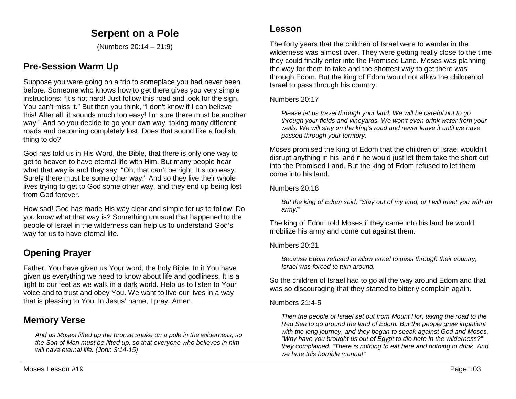# **Serpent on a Pole**

(Numbers 20:14 – 21:9)

# **Pre-Session Warm Up**

Suppose you were going on a trip to someplace you had never been before. Someone who knows how to get there gives you very simple instructions: "It's not hard! Just follow this road and look for the sign. You can't miss it." But then you think, "I don't know if I can believe this! After all, it sounds much too easy! I'm sure there must be another way." And so you decide to go your own way, taking many different roads and becoming completely lost. Does that sound like a foolish thing to do?

God has told us in His Word, the Bible, that there is only one way to get to heaven to have eternal life with Him. But many people hear what that way is and they say, "Oh, that can't be right. It's too easy. Surely there must be some other way." And so they live their whole lives trying to get to God some other way, and they end up being lost from God forever.

How sad! God has made His way clear and simple for us to follow. Do you know what that way is? Something unusual that happened to the people of Israel in the wilderness can help us to understand God's way for us to have eternal life.

# **Opening Prayer**

Father, You have given us Your word, the holy Bible. In it You have given us everything we need to know about life and godliness. It is a light to our feet as we walk in a dark world. Help us to listen to Your voice and to trust and obey You. We want to live our lives in a way that is pleasing to You. In Jesus' name, I pray. Amen.

## **Memory Verse**

*And as Moses lifted up the bronze snake on a pole in the wilderness, so the Son of Man must be lifted up, so that everyone who believes in him will have eternal life. (John 3:14-15)*

The forty years that the children of Israel were to wander in the wilderness was almost over. They were getting really close to the time they could finally enter into the Promised Land. Moses was planning the way for them to take and the shortest way to get there was through Edom. But the king of Edom would not allow the children of Israel to pass through his country.

Numbers 20:17

*Please let us travel through your land. We will be careful not to go through your fields and vineyards. We won't even drink water from your wells. We will stay on the king's road and never leave it until we have passed through your territory.*

Moses promised the king of Edom that the children of Israel wouldn't disrupt anything in his land if he would just let them take the short cut into the Promised Land. But the king of Edom refused to let them come into his land.

Numbers 20:18

*But the king of Edom said, "Stay out of my land, or I will meet you with an army!"*

The king of Edom told Moses if they came into his land he would mobilize his army and come out against them.

Numbers 20:21

*Because Edom refused to allow Israel to pass through their country, Israel was forced to turn around.*

So the children of Israel had to go all the way around Edom and that was so discouraging that they started to bitterly complain again.

#### Numbers 21:4-5

*Then the people of Israel set out from Mount Hor, taking the road to the Red Sea to go around the land of Edom. But the people grew impatient with the long journey, and they began to speak against God and Moses. "Why have you brought us out of Egypt to die here in the wilderness?" they complained. "There is nothing to eat here and nothing to drink. And we hate this horrible manna!"*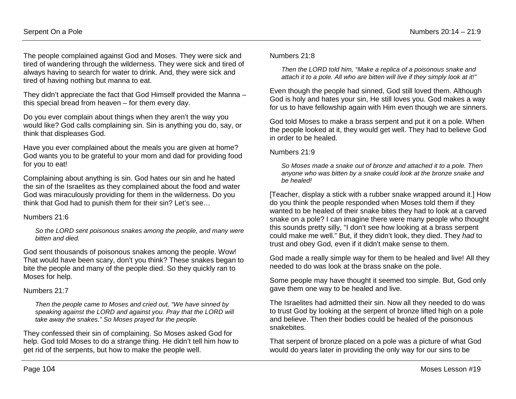The people complained against God and Moses. They were sick and tired of wandering through the wilderness. They were sick and tired of always having to search for water to drink. And, they were sick and tired of having nothing but manna to eat.

They didn't appreciate the fact that God Himself provided the Manna – this special bread from heaven – for them every day.

Do you ever complain about things when they aren't the way you would like? God calls complaining sin. Sin is anything you do, say, or think that displeases God.

Have you ever complained about the meals you are given at home? God wants you to be grateful to your mom and dad for providing food for you to eat!

Complaining about anything is sin. God hates our sin and he hated the sin of the Israelites as they complained about the food and water God was miraculously providing for them in the wilderness. Do you think that God had to punish them for their sin? Let's see…

#### Numbers 21:6

*So the LORD sent poisonous snakes among the people, and many were bitten and died.*

God sent thousands of poisonous snakes among the people. Wow! That would have been scary, don't you think? These snakes began to bite the people and many of the people died. So they quickly ran to Moses for help.

#### Numbers 21:7

*Then the people came to Moses and cried out, "We have sinned by speaking against the LORD and against you. Pray that the LORD will take away the snakes." So Moses prayed for the people.*

They confessed their sin of complaining. So Moses asked God for help. God told Moses to do a strange thing. He didn't tell him how to get rid of the serpents, but how to make the people well.

#### Numbers 21:8

*Then the LORD told him, "Make a replica of a poisonous snake and attach it to a pole. All who are bitten will live if they simply look at it!"*

Even though the people had sinned, God still loved them. Although God is holy and hates your sin, He still loves you. God makes a way for us to have fellowship again with Him even though we are sinners.

God told Moses to make a brass serpent and put it on a pole. When the people looked at it, they would get well. They had to believe God in order to be healed.

#### Numbers 21:9

*So Moses made a snake out of bronze and attached it to a pole. Then anyone who was bitten by a snake could look at the bronze snake and be healed!*

[Teacher, display a stick with a rubber snake wrapped around it.] How do you think the people responded when Moses told them if they wanted to be healed of their snake bites they had to look at a carved snake on a pole? I can imagine there were many people who thought this sounds pretty silly, "I don't see how looking at a brass serpent could make me well." But, if they didn't look, they died. They *had* to trust and obey God, even if it didn't make sense to them.

God made a really simple way for them to be healed and live! All they needed to do was look at the brass snake on the pole.

Some people may have thought it seemed too simple. But, God only gave them one way to be healed and live.

The Israelites had admitted their sin. Now all they needed to do was to trust God by looking at the serpent of bronze lifted high on a pole and believe. Then their bodies could be healed of the poisonous snakebites.

That serpent of bronze placed on a pole was a picture of what God would do years later in providing the only way for our sins to be